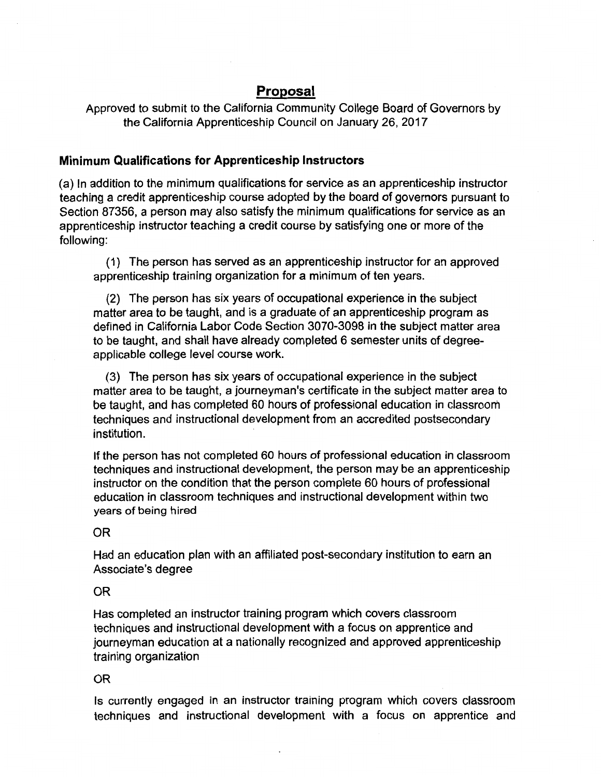## **Proposal**

Approved to submit to the California Community College Board of Governors by the California Apprenticeship Council on January 26, 2017

## **Minimum Qualifications for Apprenticeship Instructors**

(a) In addition to the minimum qualifications for service as an apprenticeship instructor teaching a credit apprenticeship course adopted by the board of governors pursuant to Section 87356, a person may also satisfy the minimum qualifications for service as an apprenticeship instructor teaching a credit course by satisfying one or more of the following:

( 1) The person has served as an apprenticeship instructor for an approved apprenticeship training organization for a minimum of ten years.

(2) The person has six years of occupational experience in the subject matter area to be taught, and is a graduate of an apprenticeship program as defined in California Labor Code Section 3070-3098 in the subject matter area to be taught, and shall have already completed 6 semester units of degreeapplicable college level course work.

(3) The person has six years of occupational experience in the subject matter area to be taught, a journeyman's certificate in the subject matter area to be taught, and has completed 60 hours of professional education in classroom techniques and instructional development from an accredited postsecondary institution.

If the person has not completed 60 hours of professional education in classroom techniques and instructional development, the person may be an apprenticeship instructor on the condition that the person complete 60 hours of professional education in classroom techniques and instructional development within two years of being hired

OR

Had an education plan with an affiliated post-secondary institution to earn an Associate's degree

OR

Has completed an instructor training program which covers classroom techniques and instructional development with a focus on apprentice and journeyman education at a nationally recognized and approved apprenticeship training organization

## OR

Is currently engaged in an instructor training program which covers classroom techniques and instructional development with a focus on apprentice and